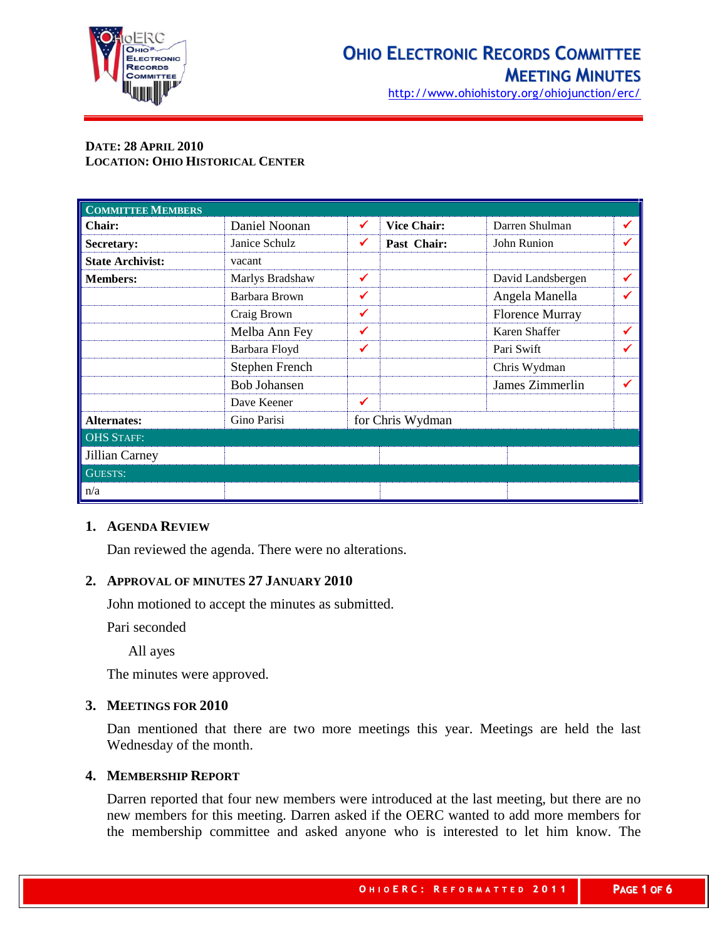

http://www.ohiohistory.org/ohiojunction/erc/

## **DATE: 28 APRIL 2010 LOCATION: OHIO HISTORICAL CENTER**

| <b>COMMITTEE MEMBERS</b> |                     |              |                    |                        |   |
|--------------------------|---------------------|--------------|--------------------|------------------------|---|
| <b>Chair:</b>            | Daniel Noonan       | ✔            | <b>Vice Chair:</b> | Darren Shulman         | ✔ |
| Secretary:               | Janice Schulz       | ✔            | Past Chair:        | John Runion            | ✔ |
| <b>State Archivist:</b>  | vacant              |              |                    |                        |   |
| <b>Members:</b>          | Marlys Bradshaw     | $\checkmark$ |                    | David Landsbergen      | ✔ |
|                          | Barbara Brown       | ✔            |                    | Angela Manella         | ✔ |
|                          | Craig Brown         | ✔            |                    | <b>Florence Murray</b> |   |
|                          | Melba Ann Fey       | $\checkmark$ |                    | Karen Shaffer          | ✔ |
|                          | Barbara Floyd       | ✔            |                    | Pari Swift             | ✔ |
|                          | Stephen French      |              |                    | Chris Wydman           |   |
|                          | <b>Bob Johansen</b> |              |                    | James Zimmerlin        | ✔ |
|                          | Dave Keener         | ✔            |                    |                        |   |
| <b>Alternates:</b>       | Gino Parisi         |              | for Chris Wydman   |                        |   |
| <b>OHS STAFF:</b>        |                     |              |                    |                        |   |
| Jillian Carney           |                     |              |                    |                        |   |
| <b>GUESTS:</b>           |                     |              |                    |                        |   |
| n/a                      |                     |              |                    |                        |   |

## **1. AGENDA REVIEW**

Dan reviewed the agenda. There were no alterations.

### **2. APPROVAL OF MINUTES 27 JANUARY 2010**

John motioned to accept the minutes as submitted.

Pari seconded

All ayes

The minutes were approved.

### **3. MEETINGS FOR 2010**

Dan mentioned that there are two more meetings this year. Meetings are held the last Wednesday of the month.

## **4. MEMBERSHIP REPORT**

Darren reported that four new members were introduced at the last meeting, but there are no new members for this meeting. Darren asked if the OERC wanted to add more members for the membership committee and asked anyone who is interested to let him know. The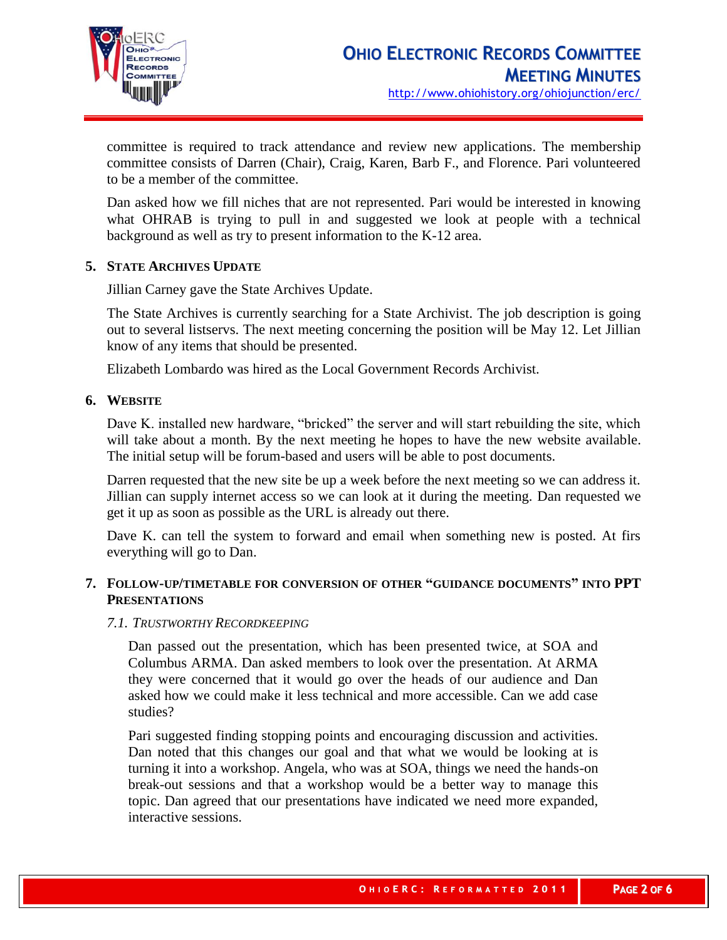

committee is required to track attendance and review new applications. The membership committee consists of Darren (Chair), Craig, Karen, Barb F., and Florence. Pari volunteered to be a member of the committee.

Dan asked how we fill niches that are not represented. Pari would be interested in knowing what OHRAB is trying to pull in and suggested we look at people with a technical background as well as try to present information to the K-12 area.

## **5. STATE ARCHIVES UPDATE**

Jillian Carney gave the State Archives Update.

The State Archives is currently searching for a State Archivist. The job description is going out to several listservs. The next meeting concerning the position will be May 12. Let Jillian know of any items that should be presented.

Elizabeth Lombardo was hired as the Local Government Records Archivist.

## **6. WEBSITE**

Dave K. installed new hardware, "bricked" the server and will start rebuilding the site, which will take about a month. By the next meeting he hopes to have the new website available. The initial setup will be forum-based and users will be able to post documents.

Darren requested that the new site be up a week before the next meeting so we can address it. Jillian can supply internet access so we can look at it during the meeting. Dan requested we get it up as soon as possible as the URL is already out there.

Dave K. can tell the system to forward and email when something new is posted. At firs everything will go to Dan.

## **7. FOLLOW-UP/TIMETABLE FOR CONVERSION OF OTHER "GUIDANCE DOCUMENTS" INTO PPT PRESENTATIONS**

## *7.1. TRUSTWORTHY RECORDKEEPING*

Dan passed out the presentation, which has been presented twice, at SOA and Columbus ARMA. Dan asked members to look over the presentation. At ARMA they were concerned that it would go over the heads of our audience and Dan asked how we could make it less technical and more accessible. Can we add case studies?

Pari suggested finding stopping points and encouraging discussion and activities. Dan noted that this changes our goal and that what we would be looking at is turning it into a workshop. Angela, who was at SOA, things we need the hands-on break-out sessions and that a workshop would be a better way to manage this topic. Dan agreed that our presentations have indicated we need more expanded, interactive sessions.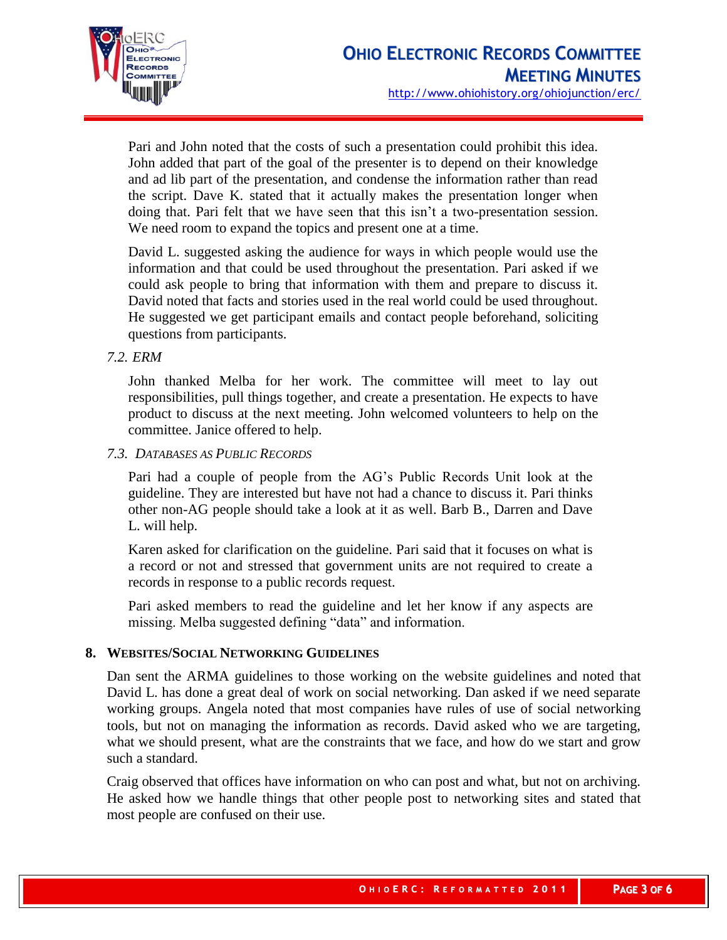

Pari and John noted that the costs of such a presentation could prohibit this idea. John added that part of the goal of the presenter is to depend on their knowledge and ad lib part of the presentation, and condense the information rather than read the script. Dave K. stated that it actually makes the presentation longer when doing that. Pari felt that we have seen that this isn't a two-presentation session. We need room to expand the topics and present one at a time.

David L. suggested asking the audience for ways in which people would use the information and that could be used throughout the presentation. Pari asked if we could ask people to bring that information with them and prepare to discuss it. David noted that facts and stories used in the real world could be used throughout. He suggested we get participant emails and contact people beforehand, soliciting questions from participants.

## *7.2. ERM*

John thanked Melba for her work. The committee will meet to lay out responsibilities, pull things together, and create a presentation. He expects to have product to discuss at the next meeting. John welcomed volunteers to help on the committee. Janice offered to help.

## *7.3. DATABASES AS PUBLIC RECORDS*

Pari had a couple of people from the AG's Public Records Unit look at the guideline. They are interested but have not had a chance to discuss it. Pari thinks other non-AG people should take a look at it as well. Barb B., Darren and Dave L. will help.

Karen asked for clarification on the guideline. Pari said that it focuses on what is a record or not and stressed that government units are not required to create a records in response to a public records request.

Pari asked members to read the guideline and let her know if any aspects are missing. Melba suggested defining "data" and information.

## **8. WEBSITES/SOCIAL NETWORKING GUIDELINES**

Dan sent the ARMA guidelines to those working on the website guidelines and noted that David L. has done a great deal of work on social networking. Dan asked if we need separate working groups. Angela noted that most companies have rules of use of social networking tools, but not on managing the information as records. David asked who we are targeting, what we should present, what are the constraints that we face, and how do we start and grow such a standard.

Craig observed that offices have information on who can post and what, but not on archiving. He asked how we handle things that other people post to networking sites and stated that most people are confused on their use.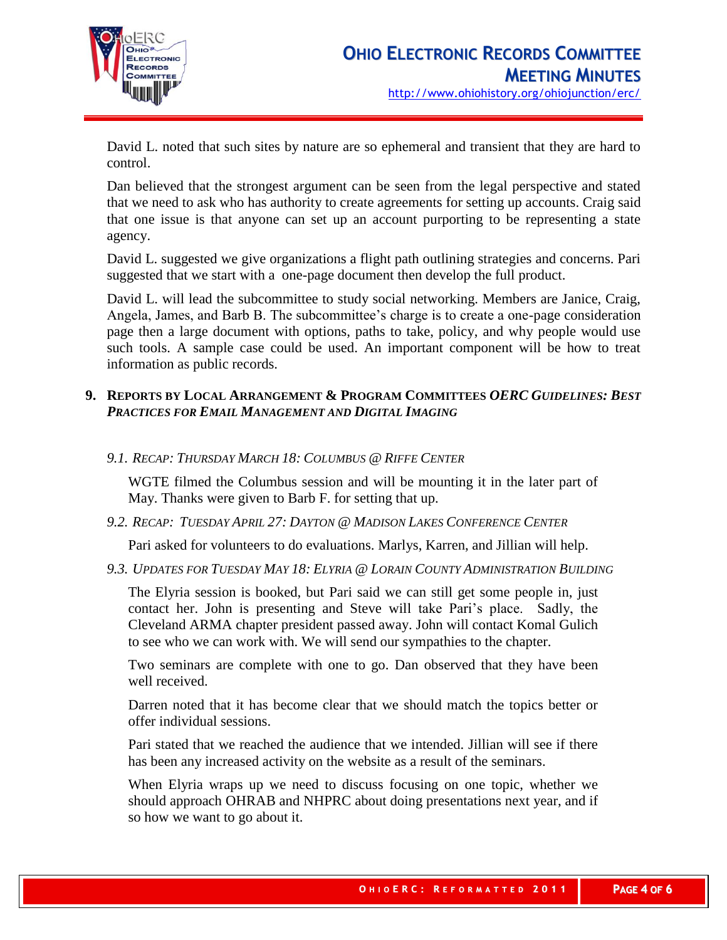

David L. noted that such sites by nature are so ephemeral and transient that they are hard to control.

Dan believed that the strongest argument can be seen from the legal perspective and stated that we need to ask who has authority to create agreements for setting up accounts. Craig said that one issue is that anyone can set up an account purporting to be representing a state agency.

David L. suggested we give organizations a flight path outlining strategies and concerns. Pari suggested that we start with a one-page document then develop the full product.

David L. will lead the subcommittee to study social networking. Members are Janice, Craig, Angela, James, and Barb B. The subcommittee's charge is to create a one-page consideration page then a large document with options, paths to take, policy, and why people would use such tools. A sample case could be used. An important component will be how to treat information as public records.

# **9. REPORTS BY LOCAL ARRANGEMENT & PROGRAM COMMITTEES** *OERC GUIDELINES: BEST PRACTICES FOR EMAIL MANAGEMENT AND DIGITAL IMAGING*

*9.1. RECAP: THURSDAY MARCH 18: COLUMBUS @ RIFFE CENTER*

WGTE filmed the Columbus session and will be mounting it in the later part of May. Thanks were given to Barb F. for setting that up.

*9.2. RECAP: TUESDAY APRIL 27: DAYTON @ MADISON LAKES CONFERENCE CENTER*

Pari asked for volunteers to do evaluations. Marlys, Karren, and Jillian will help.

*9.3. UPDATES FOR TUESDAY MAY 18: ELYRIA @ LORAIN COUNTY ADMINISTRATION BUILDING*

The Elyria session is booked, but Pari said we can still get some people in, just contact her. John is presenting and Steve will take Pari's place. Sadly, the Cleveland ARMA chapter president passed away. John will contact Komal Gulich to see who we can work with. We will send our sympathies to the chapter.

Two seminars are complete with one to go. Dan observed that they have been well received.

Darren noted that it has become clear that we should match the topics better or offer individual sessions.

Pari stated that we reached the audience that we intended. Jillian will see if there has been any increased activity on the website as a result of the seminars.

When Elyria wraps up we need to discuss focusing on one topic, whether we should approach OHRAB and NHPRC about doing presentations next year, and if so how we want to go about it.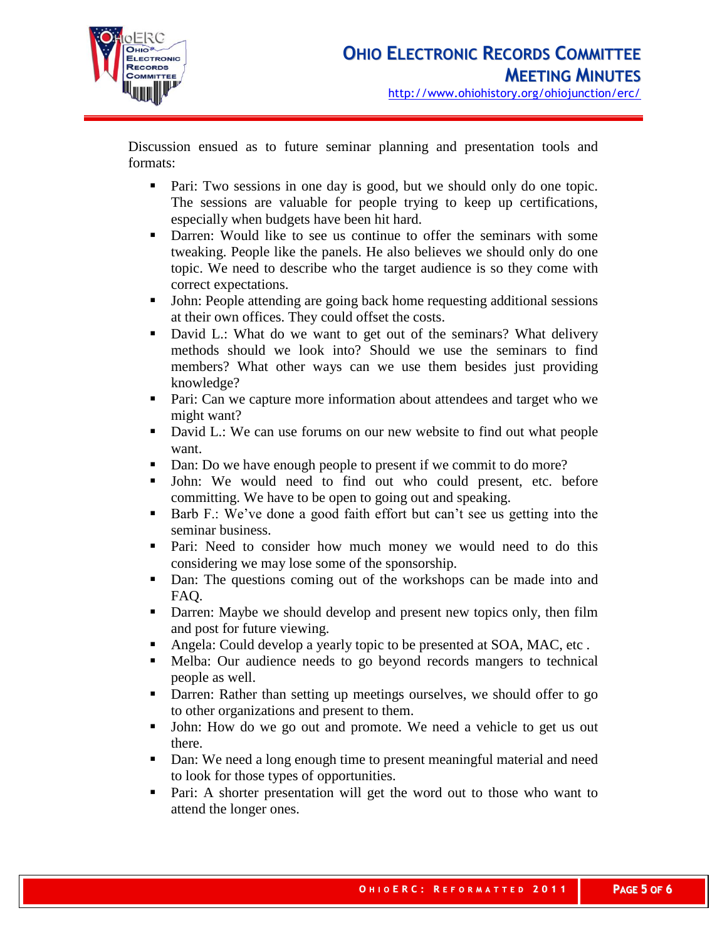

Discussion ensued as to future seminar planning and presentation tools and formats:

- Pari: Two sessions in one day is good, but we should only do one topic. The sessions are valuable for people trying to keep up certifications, especially when budgets have been hit hard.
- Darren: Would like to see us continue to offer the seminars with some tweaking. People like the panels. He also believes we should only do one topic. We need to describe who the target audience is so they come with correct expectations.
- John: People attending are going back home requesting additional sessions at their own offices. They could offset the costs.
- David L.: What do we want to get out of the seminars? What delivery methods should we look into? Should we use the seminars to find members? What other ways can we use them besides just providing knowledge?
- **Pari:** Can we capture more information about attendees and target who we might want?
- David L.: We can use forums on our new website to find out what people want.
- Dan: Do we have enough people to present if we commit to do more?
- John: We would need to find out who could present, etc. before committing. We have to be open to going out and speaking.
- Barb F.: We've done a good faith effort but can't see us getting into the seminar business.
- **Pari:** Need to consider how much money we would need to do this considering we may lose some of the sponsorship.
- Dan: The questions coming out of the workshops can be made into and FAQ.
- Darren: Maybe we should develop and present new topics only, then film and post for future viewing.
- Angela: Could develop a yearly topic to be presented at SOA, MAC, etc.
- Melba: Our audience needs to go beyond records mangers to technical people as well.
- Darren: Rather than setting up meetings ourselves, we should offer to go to other organizations and present to them.
- If John: How do we go out and promote. We need a vehicle to get us out there.
- Dan: We need a long enough time to present meaningful material and need to look for those types of opportunities.
- Pari: A shorter presentation will get the word out to those who want to attend the longer ones.